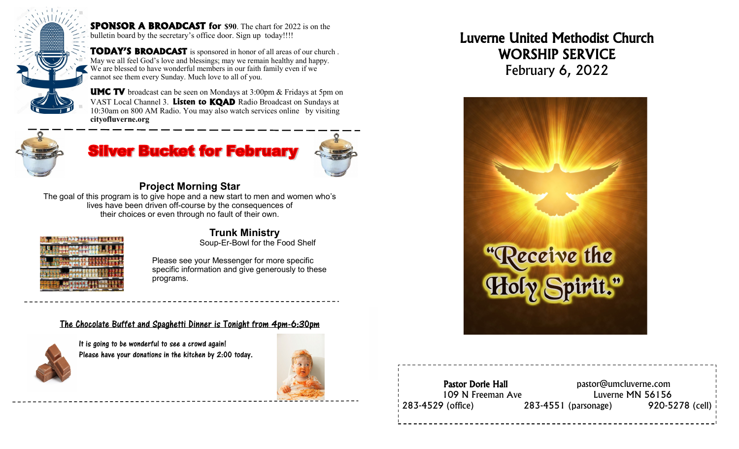

**SPONSOR A BROADCAST for \$90**. The chart for 2022 is on the bulletin board by the secretary's office door. Sign up today!!!!

**TODAY'S BROADCAST** is sponsored in honor of all areas of our church . May we all feel God's love and blessings; may we remain healthy and happy. We are blessed to have wonderful members in our faith family even if we cannot see them every Sunday. Much love to all of you.

**UMC TV** broadcast can be seen on Mondays at 3:00pm & Fridays at 5pm on VAST Local Channel 3. **Listen to KQAD** Radio Broadcast on Sundays at 10:30am on 800 AM Radio. You may also watch services online by visiting **cityofluverne.org**





The goal of this program is to give hope and a new start to men and women who's lives have been driven off-course by the consequences of their choices or even through no fault of their own.



#### **Trunk Ministry** Soup-Er-Bowl for the Food Shelf

Please see your Messenger for more specific specific information and give generously to these programs.

## The Chocolate Buffet and Spaghetti Dinner is Tonight from 4pm-6:30pm

j



 It is going to be wonderful to see a crowd again! Please have your donations in the kitchen by 2:00 today.



# Luverne United Methodist Church WORSHIP SERVICE February 6, 2022



## Pastor Dorie Hall **Pastor** pastor@umcluverne.com 109 N Freeman Ave Luverne MN 56156 283-4529 (office) 283-4551 (parsonage) 920-5278 (cell)